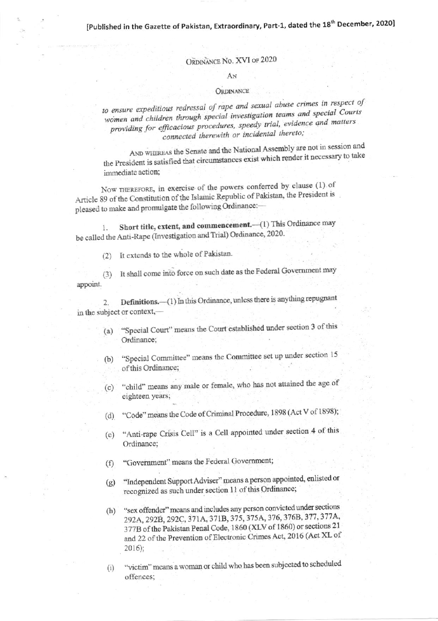## ORDINANCE No. XVI of 2020

## AN

## ORDINANCE

to ensure expeditious redressal of rape and sexual abuse crimes in respect of women and children through special investigation teams and special Courts providing for efficacious procedures, speedy trial, evidence and matters connected therewith or incidental thereto;

AND WHEREAS the Senate and the National Assembly are not in session and the President is satisfied that circumstances exist which render it necessary to take immediate action;

Now THEREFORE, in exercise of the powers conferred by clause (1) of Article 89 of the Constitution of the Islamic Republic of Pakistan, the President is pleased to make and promulgate the following Ordinance:-

Short title, extent, and commencement.-(1) This Ordinance may be called the Anti-Rape (Investigation and Trial) Ordinance, 2020.

(2) It extends to the whole of Pakistan.

It shall come into force on such date as the Federal Government may  $(3)$ appoint.

Definitions.-(1) In this Ordinance, unless there is anything repugnant  $\overline{2}$ . in the subject or context,-

- "Special Court" means the Court established under section 3 of this  $(a)$ Ordinance;
- "Special Committee" means the Committee set up under section 15  $(b)$ of this Ordinance;
- "child" means any male or female, who has not attained the age of  $(c)$ eighteen years;
- (d) "Code" means the Code of Criminal Procedure, 1898 (Act V of 1898);
- "Anti-rape Crisis Cell" is a Cell appointed under section 4 of this  $(e)$ Ordinance;
- "Government" means the Federal Government;  $(f)$
- "Independent Support Adviser" means a person appointed, enlisted or  $(g)$ recognized as such under section 11 of this Ordinance;
- "sex offender" means and includes any person convicted under sections  $(h)$ 292A, 292B, 292C, 371A, 371B, 375, 375A, 376, 376B, 377, 377A, 377B of the Pakistan Penal Code, 1860 (XLV of 1860) or sections 21 and 22 of the Prevention of Electronic Crimes Act, 2016 (Act XL of  $2016$ ;
- "victim" means a woman or child who has been subjected to scheduled  $(i)$ offences: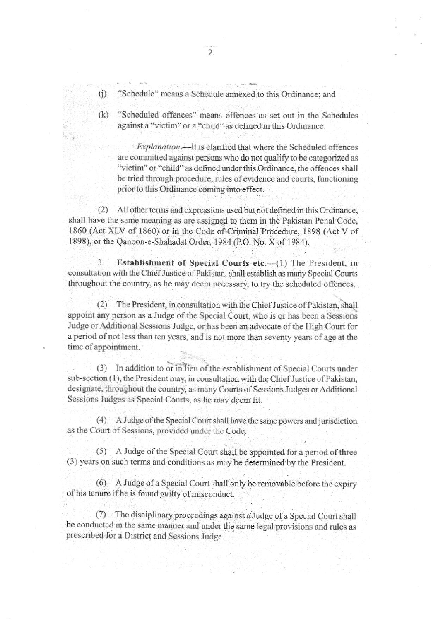- $(i)$ "Schedule" means a Schedule annexed to this Ordinance; and
- "Scheduled offences" means offences as set out in the Schedules  $(k)$ against a "victim" or a "child" as defined in this Ordinance.

Explanation.—It is clarified that where the Scheduled offences are committed against persons who do not qualify to be categorized as "victim" or "child" as defined under this Ordinance, the offences shall be tried through procedure, rules of evidence and courts, functioning prior to this Ordinance coming into effect.

(2) All other terms and expressions used but not defined in this Ordinance, shall have the same meaning as are assigned to them in the Pakistan Penal Code, 1860 (Act XLV of 1860) or in the Code of Criminal Procedure, 1898 (Act V of 1898), or the Qanoon-e-Shahadat Order, 1984 (P.O. No. X of 1984).

3. Establishment of Special Courts etc.-(1) The President, in consultation with the Chief Justice of Pakistan, shall establish as many Special Courts throughout the country, as he may deem necessary, to try the scheduled offences.

 $(2)$ The President, in consultation with the Chief Justice of Pakistan, shall appoint any person as a Judge of the Special Court, who is or has been a Sessions Judge or Additional Sessions Judge, or has been an advocate of the High Court for a period of not less than ten years, and is not more than seventy years of age at the time of appointment.

(3) In addition to or in lieu of the establishment of Special Courts under sub-section (1), the President may, in consultation with the Chief Justice of Pakistan, designate, throughout the country, as many Courts of Sessions Judges or Additional Sessions Judges as Special Courts, as he may deem fit.

(4) A Judge of the Special Court shall have the same powers and jurisdiction as the Court of Sessions, provided under the Code.

(5) A Judge of the Special Court shall be appointed for a period of three (3) years on such terms and conditions as may be determined by the President.

(6) A Judge of a Special Court shall only be removable before the expiry of his tenure if he is found guilty of misconduct.

(7) The disciplinary proceedings against a Judge of a Special Court shall be conducted in the same manner and under the same legal provisions and rules as prescribed for a District and Sessions Judge.